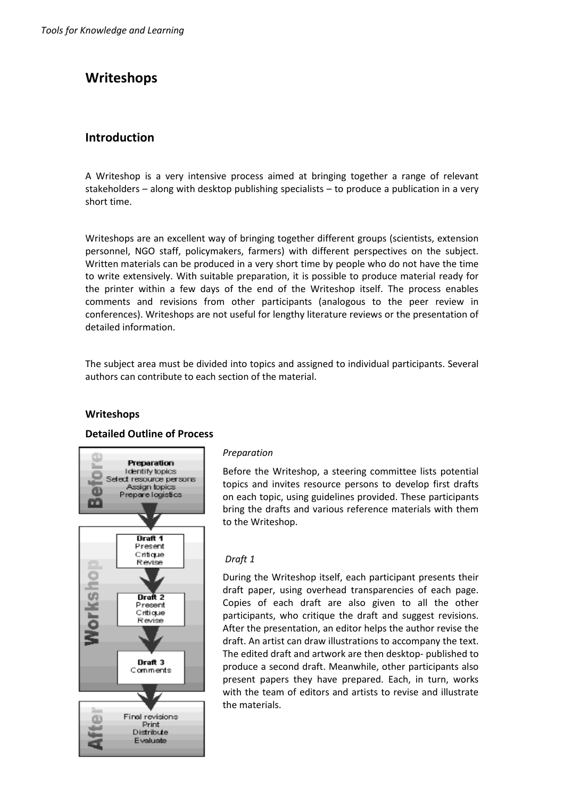# **Writeshops**

## **Introduction**

A Writeshop is a very intensive process aimed at bringing together a range of relevant stakeholders – along with desktop publishing specialists – to produce a publication in a very short time.

Writeshops are an excellent way of bringing together different groups (scientists, extension personnel, NGO staff, policymakers, farmers) with different perspectives on the subject. Written materials can be produced in a very short time by people who do not have the time to write extensively. With suitable preparation, it is possible to produce material ready for the printer within a few days of the end of the Writeshop itself. The process enables comments and revisions from other participants (analogous to the peer review in conferences). Writeshops are not useful for lengthy literature reviews or the presentation of detailed information.

The subject area must be divided into topics and assigned to individual participants. Several authors can contribute to each section of the material.

#### **Writeshops**

#### **Detailed Outline of Process**



#### *Preparation*

Before the Writeshop, a steering committee lists potential topics and invites resource persons to develop first drafts on each topic, using guidelines provided. These participants bring the drafts and various reference materials with them to the Writeshop.

#### *Draft 1*

During the Writeshop itself, each participant presents their draft paper, using overhead transparencies of each page. Copies of each draft are also given to all the other participants, who critique the draft and suggest revisions. After the presentation, an editor helps the author revise the draft. An artist can draw illustrations to accompany the text. The edited draft and artwork are then desktop- published to produce a second draft. Meanwhile, other participants also present papers they have prepared. Each, in turn, works with the team of editors and artists to revise and illustrate the materials.